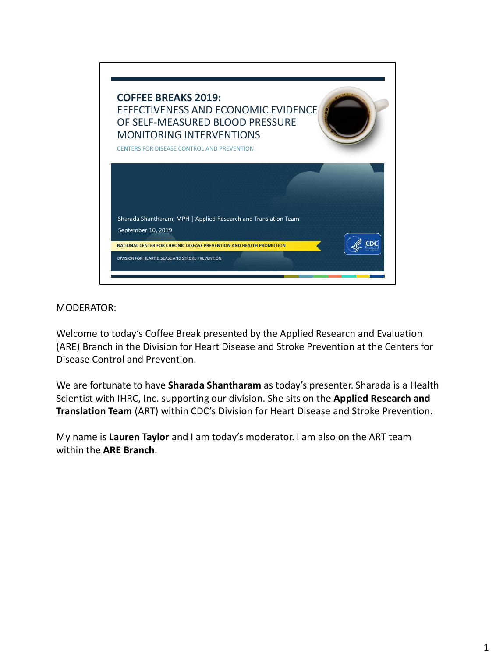

Welcome to today's Coffee Break presented by the Applied Research and Evaluation (ARE) Branch in the Division for Heart Disease and Stroke Prevention at the Centers for Disease Control and Prevention.

We are fortunate to have **Sharada Shantharam** as today's presenter. Sharada is a Health Scientist with IHRC, Inc. supporting our division. She sits on the **Applied Research and Translation Team** (ART) within CDC's Division for Heart Disease and Stroke Prevention.

My name is **Lauren Taylor** and I am today's moderator. I am also on the ART team within the **ARE Branch**.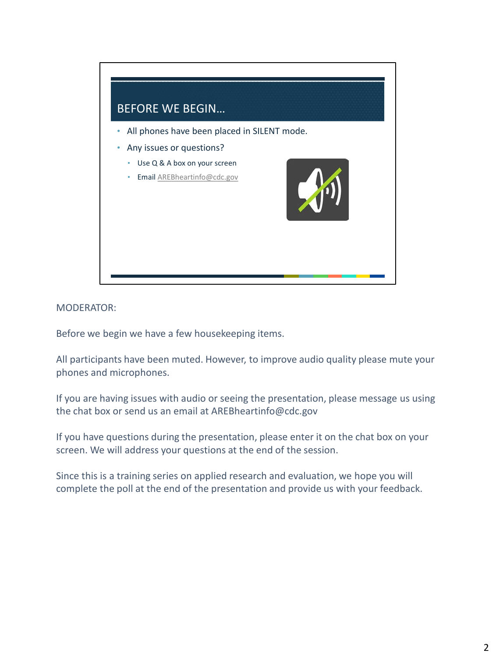

Before we begin we have a few housekeeping items.

All participants have been muted. However, to improve audio quality please mute your phones and microphones.

If you are having issues with audio or seeing the presentation, please message us using the chat box or send us an email at AREBheartinfo@cdc.gov

If you have questions during the presentation, please enter it on the chat box on your screen. We will address your questions at the end of the session.

Since this is a training series on applied research and evaluation, we hope you will complete the poll at the end of the presentation and provide us with your feedback.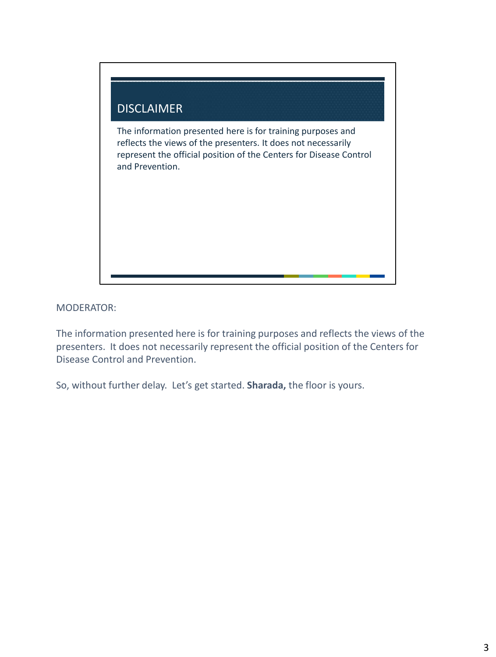

The information presented here is for training purposes and reflects the views of the presenters. It does not necessarily represent the official position of the Centers for Disease Control and Prevention.

So, without further delay. Let's get started. **Sharada,** the floor is yours.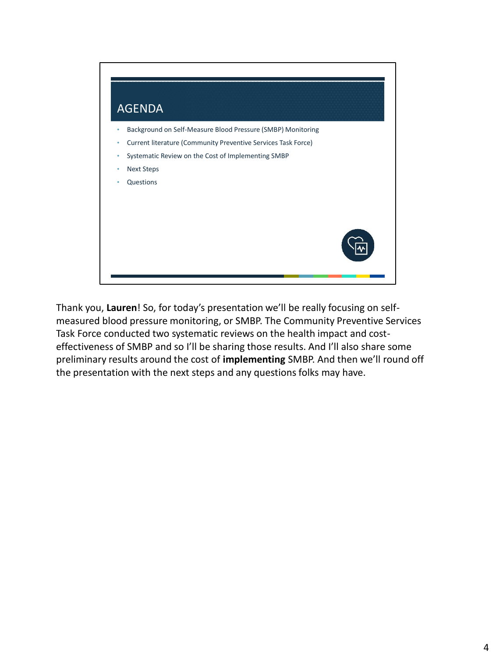

Thank you, **Lauren**! So, for today's presentation we'll be really focusing on selfmeasured blood pressure monitoring, or SMBP. The Community Preventive Services Task Force conducted two systematic reviews on the health impact and costeffectiveness of SMBP and so I'll be sharing those results. And I'll also share some preliminary results around the cost of **implementing** SMBP. And then we'll round off the presentation with the next steps and any questions folks may have.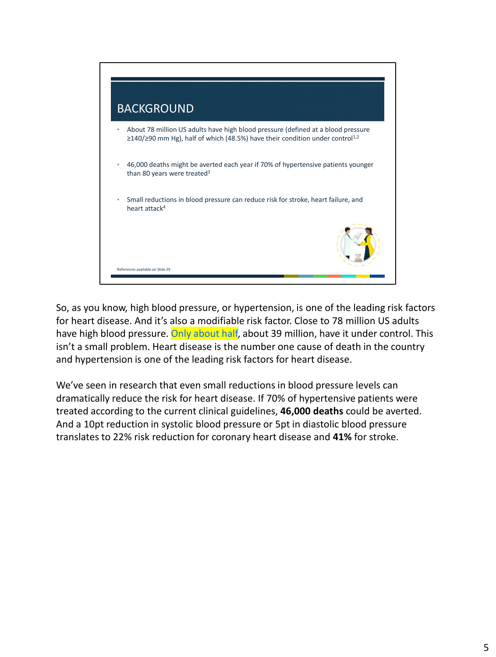

So, as you know, high blood pressure, or hypertension, is one of the leading risk factors for heart disease. And it's also a modifiable risk factor. Close to 78 million US adults have high blood pressure. Only about half, about 39 million, have it under control. This isn't a small problem. Heart disease is the number one cause of death in the country and hypertension is one of the leading risk factors for heart disease.

We've seen in research that even small reductions in blood pressure levels can dramatically reduce the risk for heart disease. If 70% of hypertensive patients were treated according to the current clinical guidelines, **46,000 deaths** could be averted. And a 10pt reduction in systolic blood pressure or 5pt in diastolic blood pressure translates to 22% risk reduction for coronary heart disease and **41%** for stroke.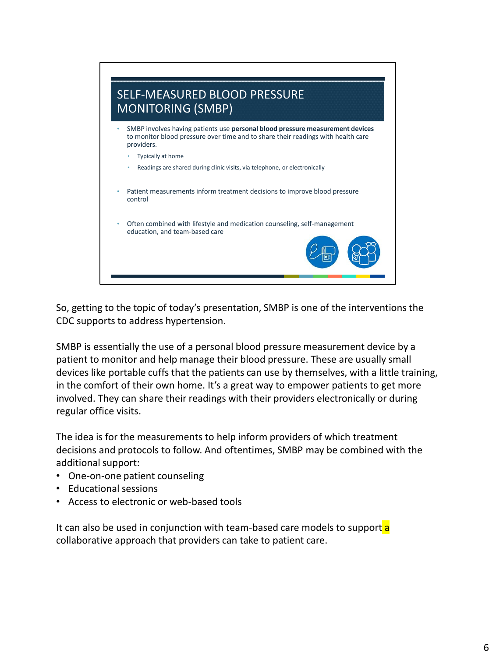

So, getting to the topic of today's presentation, SMBP is one of the interventions the CDC supports to address hypertension.

SMBP is essentially the use of a personal blood pressure measurement device by a patient to monitor and help manage their blood pressure. These are usually small devices like portable cuffs that the patients can use by themselves, with a little training, in the comfort of their own home. It's a great way to empower patients to get more involved. They can share their readings with their providers electronically or during regular office visits.

The idea is for the measurements to help inform providers of which treatment decisions and protocols to follow. And oftentimes, SMBP may be combined with the additional support:

- One-on-one patient counseling
- Educational sessions
- Access to electronic or web-based tools

It can also be used in conjunction with team-based care models to support a collaborative approach that providers can take to patient care.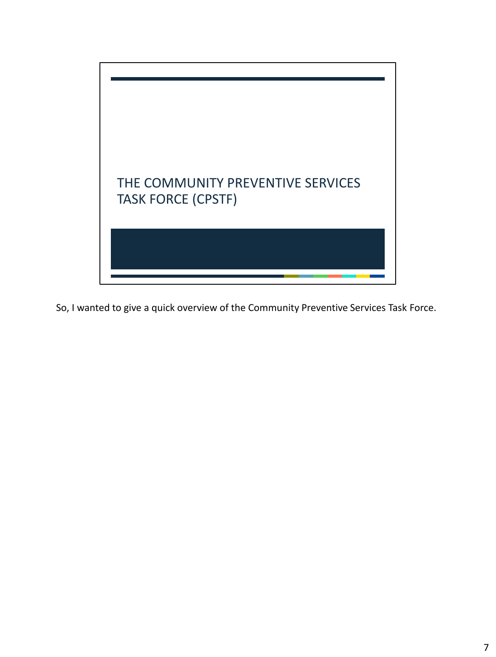

So, I wanted to give a quick overview of the Community Preventive Services Task Force.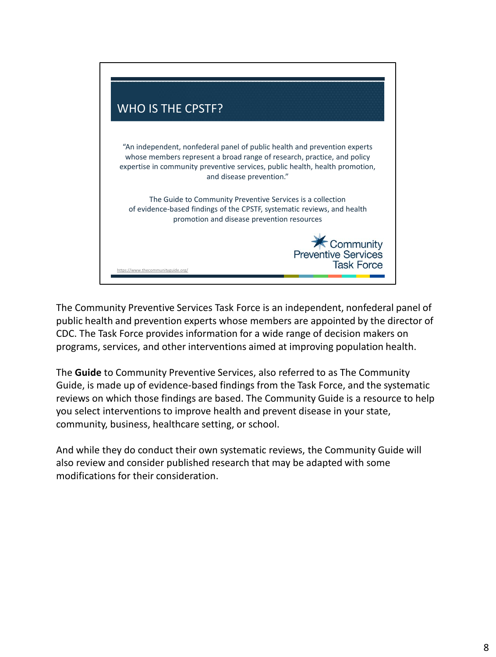

The Community Preventive Services Task Force is an independent, nonfederal panel of public health and prevention experts whose members are appointed by the director of CDC. The Task Force provides information for a wide range of decision makers on programs, services, and other interventions aimed at improving population health.

The **Guide** to Community Preventive Services, also referred to as The Community Guide, is made up of evidence-based findings from the Task Force, and the systematic reviews on which those findings are based. The Community Guide is a resource to help you select interventions to improve health and prevent disease in your state, community, business, healthcare setting, or school.

And while they do conduct their own systematic reviews, the Community Guide will also review and consider published research that may be adapted with some modifications for their consideration.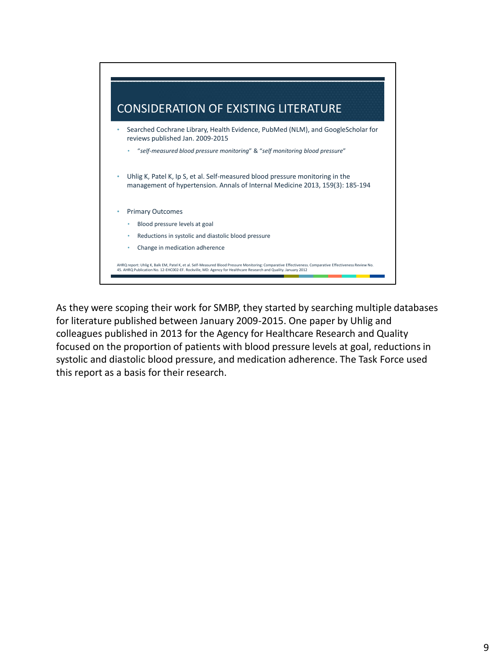

As they were scoping their work for SMBP, they started by searching multiple databases for literature published between January 2009-2015. One paper by Uhlig and colleagues published in 2013 for the Agency for Healthcare Research and Quality focused on the proportion of patients with blood pressure levels at goal, reductions in systolic and diastolic blood pressure, and medication adherence. The Task Force used this report as a basis for their research.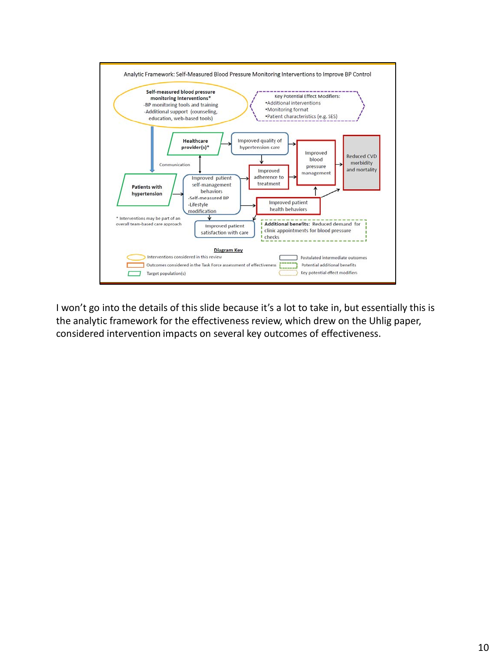

I won't go into the details of this slide because it's a lot to take in, but essentially this is the analytic framework for the effectiveness review, which drew on the Uhlig paper, considered intervention impacts on several key outcomes of effectiveness.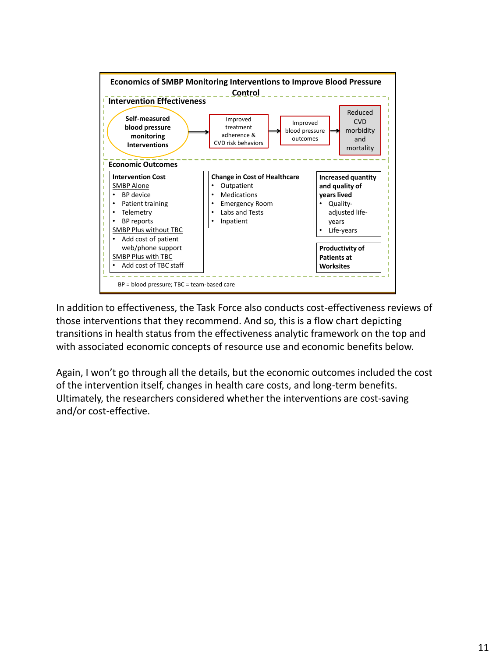

In addition to effectiveness, the Task Force also conducts cost-effectiveness reviews of those interventions that they recommend. And so, this is a flow chart depicting transitions in health status from the effectiveness analytic framework on the top and with associated economic concepts of resource use and economic benefits below.

Again, I won't go through all the details, but the economic outcomes included the cost of the intervention itself, changes in health care costs, and long-term benefits. Ultimately, the researchers considered whether the interventions are cost-saving and/or cost-effective.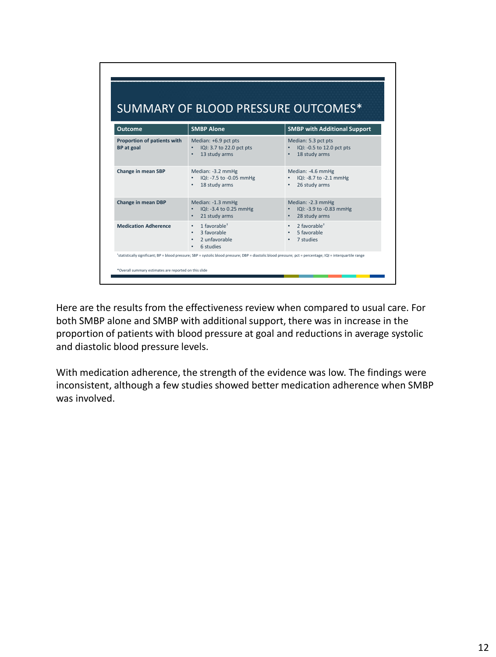| <b>Outcome</b>                                   | <b>SMBP Alone</b>                                                                       | <b>SMBP with Additional Support</b>                                 |
|--------------------------------------------------|-----------------------------------------------------------------------------------------|---------------------------------------------------------------------|
| Proportion of patients with<br><b>BP</b> at goal | Median: +6.9 pct pts<br>IQI: 3.7 to 22.0 pct pts<br>13 study arms                       | Median: 5.3 pct pts<br>IQI: -0.5 to 12.0 pct pts<br>18 study arms   |
| Change in mean SBP                               | Median: -3.2 mmHg<br>IQI: -7.5 to -0.05 mmHg<br>18 study arms                           | Median: -4.6 mmHg<br>IQI: -8.7 to -2.1 mmHg<br>26 study arms        |
| Change in mean DBP                               | Median: -1.3 mmHg<br>IQI: -3.4 to 0.25 mmHg<br>۰<br>21 study arms                       | Median: -2.3 mmHg<br>IQI: -3.9 to -0.83 mmHg<br>28 study arms       |
| <b>Medication Adherence</b>                      | 1 favorable <sup>+</sup><br>$\bullet$<br>3 favorable<br>۰<br>2 unfavorable<br>6 studies | $2$ favorable <sup>+</sup><br>$\bullet$<br>5 favorable<br>7 studies |

Here are the results from the effectiveness review when compared to usual care. For both SMBP alone and SMBP with additional support, there was in increase in the proportion of patients with blood pressure at goal and reductions in average systolic and diastolic blood pressure levels.

With medication adherence, the strength of the evidence was low. The findings were inconsistent, although a few studies showed better medication adherence when SMBP was involved.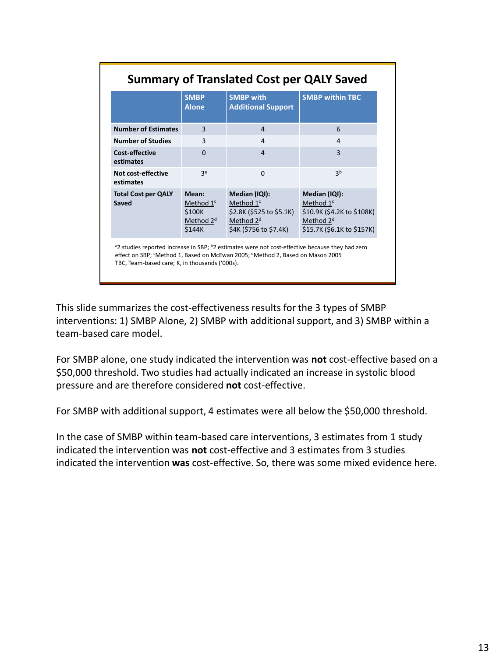|                                                | <b>SMBP</b><br><b>Alone</b>                                       | <b>SMBP with</b><br><b>Additional Support</b>                                                                                                                                                                         | <b>SMBP within TBC</b>                                                                                            |
|------------------------------------------------|-------------------------------------------------------------------|-----------------------------------------------------------------------------------------------------------------------------------------------------------------------------------------------------------------------|-------------------------------------------------------------------------------------------------------------------|
| <b>Number of Estimates</b>                     | 3                                                                 | $\overline{4}$                                                                                                                                                                                                        | 6                                                                                                                 |
| <b>Number of Studies</b>                       | 3                                                                 | 4                                                                                                                                                                                                                     | 4                                                                                                                 |
| <b>Cost-effective</b><br>estimates             | $\Omega$                                                          | $\overline{4}$                                                                                                                                                                                                        | 3                                                                                                                 |
| Not cost-effective<br>estimates                | Зa                                                                | $\Omega$                                                                                                                                                                                                              | ιþ                                                                                                                |
| <b>Total Cost per QALY</b><br>Saved            | Mean:<br>Method $1c$<br>\$100K<br>Method 2 <sup>d</sup><br>\$144K | Median (IQI):<br>Method 1 <sup>c</sup><br>\$2.8K (\$525 to \$5.1K)<br>Method 2 <sup>d</sup><br>\$4K (\$756 to \$7.4K)                                                                                                 | Median (IQI):<br>Method $1c$<br>\$10.9K (\$4.2K to \$108K)<br>Method 2 <sup>d</sup><br>\$15.7K (\$6.1K to \$157K) |
| TBC, Team-based care; K, in thousands ('000s). |                                                                   | <sup>a</sup> 2 studies reported increase in SBP; <sup>b</sup> 2 estimates were not cost-effective because they had zero<br>effect on SBP; 'Method 1, Based on McEwan 2005; <sup>d</sup> Method 2, Based on Mason 2005 |                                                                                                                   |

This slide summarizes the cost-effectiveness results for the 3 types of SMBP interventions: 1) SMBP Alone, 2) SMBP with additional support, and 3) SMBP within a team-based care model.

For SMBP alone, one study indicated the intervention was **not** cost-effective based on a \$50,000 threshold. Two studies had actually indicated an increase in systolic blood pressure and are therefore considered **not** cost-effective.

For SMBP with additional support, 4 estimates were all below the \$50,000 threshold.

In the case of SMBP within team-based care interventions, 3 estimates from 1 study indicated the intervention was **not** cost-effective and 3 estimates from 3 studies indicated the intervention **was** cost-effective. So, there was some mixed evidence here.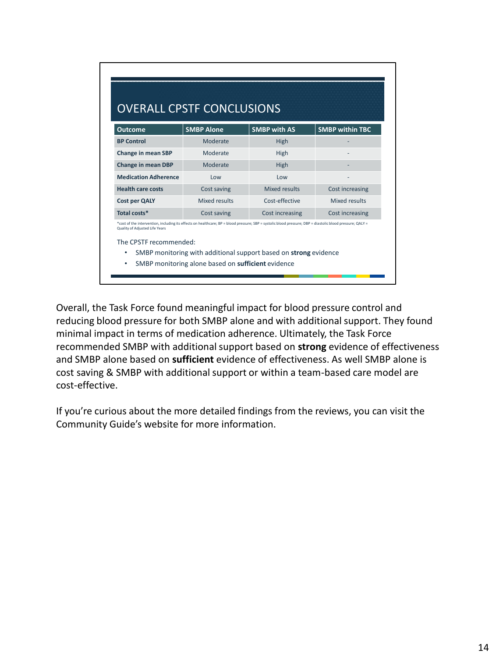| <b>Outcome</b>                                         | <b>SMBP Alone</b>                                                                                                                                          | <b>SMBP with AS</b> | <b>SMBP within TBC</b> |
|--------------------------------------------------------|------------------------------------------------------------------------------------------------------------------------------------------------------------|---------------------|------------------------|
| <b>BP Control</b>                                      | Moderate                                                                                                                                                   | High                |                        |
| <b>Change in mean SBP</b>                              | Moderate                                                                                                                                                   | High                |                        |
| Change in mean DBP                                     | Moderate                                                                                                                                                   | High                |                        |
| <b>Medication Adherence</b>                            | Low                                                                                                                                                        | Low                 |                        |
| <b>Health care costs</b>                               | Cost saving                                                                                                                                                | Mixed results       | Cost increasing        |
|                                                        | Mixed results                                                                                                                                              | Cost-effective      | Mixed results          |
| Total costs*                                           | Cost saving                                                                                                                                                | Cost increasing     | Cost increasing        |
| <b>Cost per QALY</b><br>Quality of Adjusted Life Years | *cost of the intervention, including its effects on healthcare; BP = blood pressure; SBP = systolic blood pressure; DBP = diastolic blood pressure; QALY = |                     |                        |

Overall, the Task Force found meaningful impact for blood pressure control and reducing blood pressure for both SMBP alone and with additional support. They found minimal impact in terms of medication adherence. Ultimately, the Task Force recommended SMBP with additional support based on **strong** evidence of effectiveness and SMBP alone based on **sufficient** evidence of effectiveness. As well SMBP alone is cost saving & SMBP with additional support or within a team-based care model are cost-effective.

If you're curious about the more detailed findings from the reviews, you can visit the Community Guide's website for more information.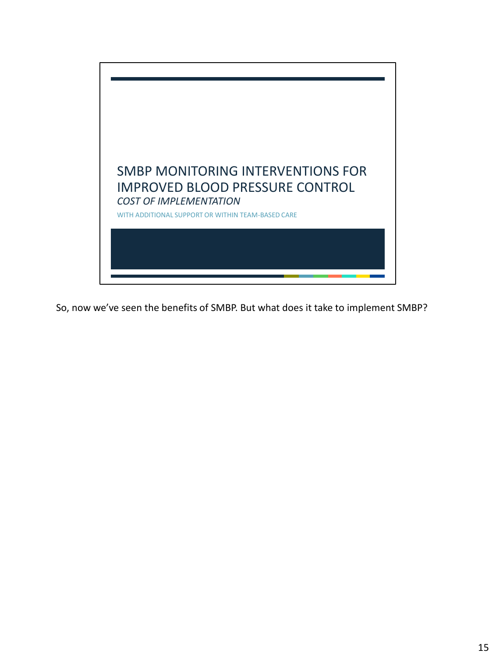

So, now we've seen the benefits of SMBP. But what does it take to implement SMBP?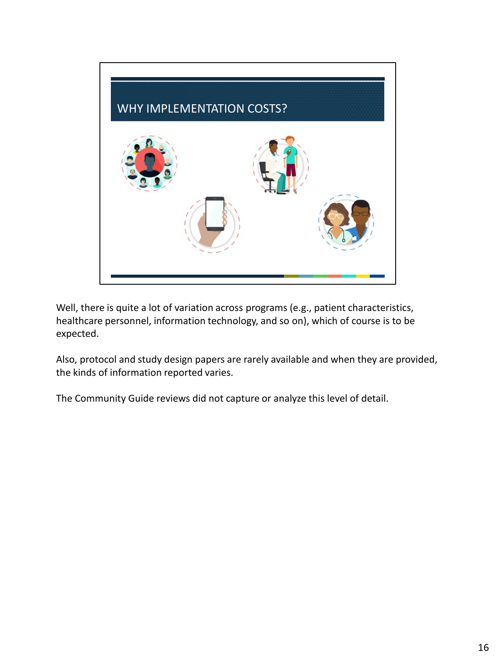

Well, there is quite a lot of variation across programs (e.g., patient characteristics, healthcare personnel, information technology, and so on), which of course is to be expected.

Also, protocol and study design papers are rarely available and when they are provided, the kinds of information reported varies.

The Community Guide reviews did not capture or analyze this level of detail.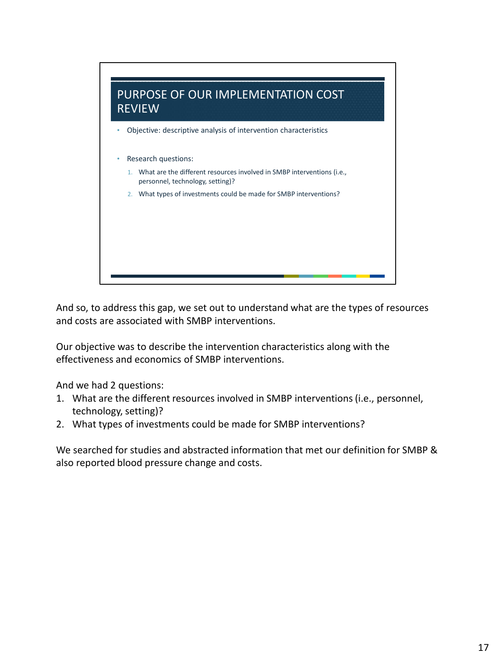

And so, to address this gap, we set out to understand what are the types of resources and costs are associated with SMBP interventions.

Our objective was to describe the intervention characteristics along with the effectiveness and economics of SMBP interventions.

And we had 2 questions:

- 1. What are the different resources involved in SMBP interventions (i.e., personnel, technology, setting)?
- 2. What types of investments could be made for SMBP interventions?

We searched for studies and abstracted information that met our definition for SMBP & also reported blood pressure change and costs.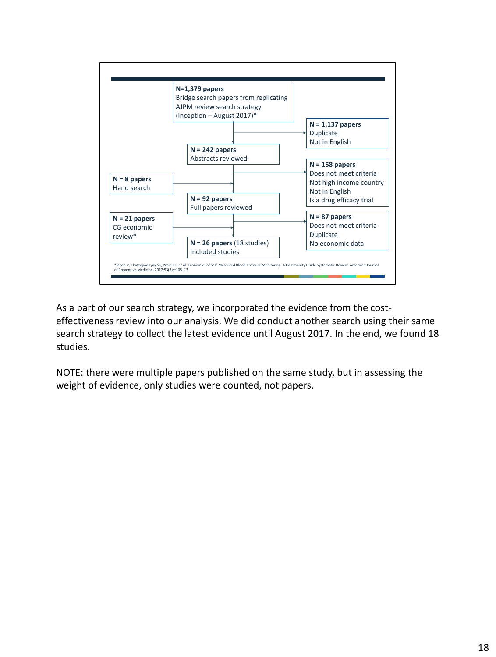

As a part of our search strategy, we incorporated the evidence from the costeffectiveness review into our analysis. We did conduct another search using their same search strategy to collect the latest evidence until August 2017. In the end, we found 18 studies.

NOTE: there were multiple papers published on the same study, but in assessing the weight of evidence, only studies were counted, not papers.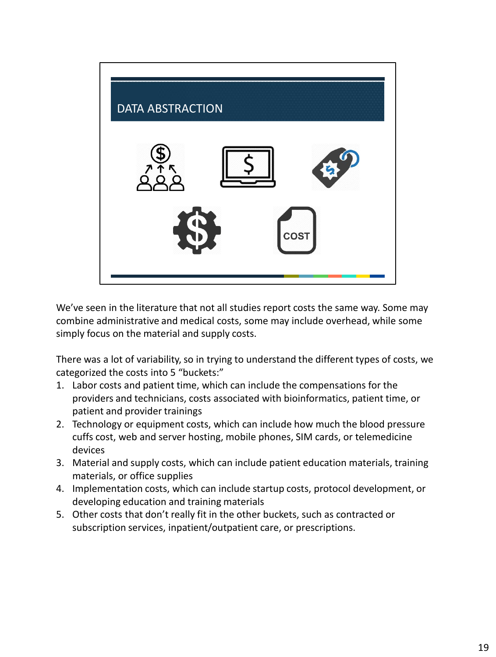

We've seen in the literature that not all studies report costs the same way. Some may combine administrative and medical costs, some may include overhead, while some simply focus on the material and supply costs.

There was a lot of variability, so in trying to understand the different types of costs, we categorized the costs into 5 "buckets:"

- 1. Labor costs and patient time, which can include the compensations for the providers and technicians, costs associated with bioinformatics, patient time, or patient and provider trainings
- 2. Technology or equipment costs, which can include how much the blood pressure cuffs cost, web and server hosting, mobile phones, SIM cards, or telemedicine devices
- 3. Material and supply costs, which can include patient education materials, training materials, or office supplies
- 4. Implementation costs, which can include startup costs, protocol development, or developing education and training materials
- 5. Other costs that don't really fit in the other buckets, such as contracted or subscription services, inpatient/outpatient care, or prescriptions.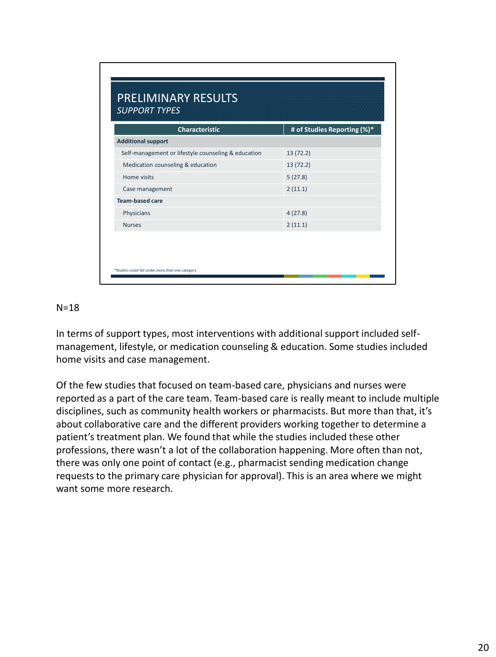| <b>Characteristic</b>                               | # of Studies Reporting (%)* |
|-----------------------------------------------------|-----------------------------|
| <b>Additional support</b>                           |                             |
| Self-management or lifestyle counseling & education | 13(72.2)                    |
| Medication counseling & education                   | 13 (72.2)                   |
| Home visits                                         | 5(27.8)                     |
| Case management                                     | 2(11.1)                     |
| <b>Team-based care</b>                              |                             |
| Physicians                                          | 4(27.8)                     |
| <b>Nurses</b>                                       | 2(11.1)                     |

### $N=18$

In terms of support types, most interventions with additional support included selfmanagement, lifestyle, or medication counseling & education. Some studies included home visits and case management.

Of the few studies that focused on team-based care, physicians and nurses were reported as a part of the care team. Team-based care is really meant to include multiple disciplines, such as community health workers or pharmacists. But more than that, it's about collaborative care and the different providers working together to determine a patient's treatment plan. We found that while the studies included these other professions, there wasn't a lot of the collaboration happening. More often than not, there was only one point of contact (e.g., pharmacist sending medication change requests to the primary care physician for approval). This is an area where we might want some more research.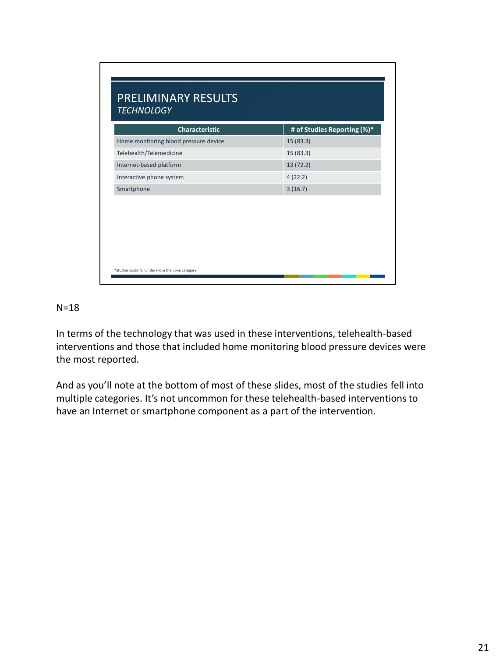| <b>Characteristic</b>                 | # of Studies Reporting (%)* |
|---------------------------------------|-----------------------------|
| Home monitoring blood pressure device | 15 (83.3)                   |
| Telehealth/Telemedicine               | 15 (83.3)                   |
| Internet-based platform               | 13 (72.2)                   |
| Interactive phone system              | 4(22.2)                     |
| Smartphone                            | 3(16.7)                     |
|                                       |                             |

## N=18

In terms of the technology that was used in these interventions, telehealth-based interventions and those that included home monitoring blood pressure devices were the most reported.

And as you'll note at the bottom of most of these slides, most of the studies fell into multiple categories. It's not uncommon for these telehealth-based interventions to have an Internet or smartphone component as a part of the intervention.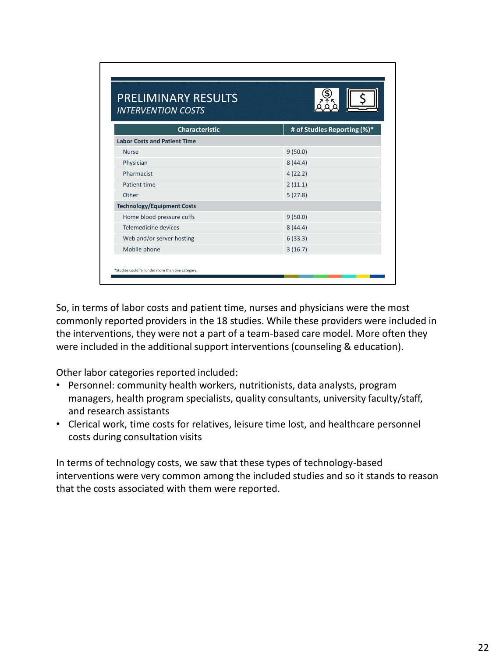| <b>PRELIMINARY RESULTS</b><br><b>INTERVENTION COSTS</b> |                             |
|---------------------------------------------------------|-----------------------------|
| <b>Characteristic</b>                                   | # of Studies Reporting (%)* |
| <b>Labor Costs and Patient Time</b>                     |                             |
| <b>Nurse</b>                                            | 9(50.0)                     |
| Physician                                               | 8(44.4)                     |
| Pharmacist                                              | 4(22.2)                     |
| Patient time                                            | 2(11.1)                     |
| Other                                                   | 5(27.8)                     |
| <b>Technology/Equipment Costs</b>                       |                             |
| Home blood pressure cuffs                               | 9(50.0)                     |
| Telemedicine devices                                    | 8(44.4)                     |
| Web and/or server hosting                               | 6(33.3)                     |
| Mobile phone                                            | 3(16.7)                     |

So, in terms of labor costs and patient time, nurses and physicians were the most commonly reported providers in the 18 studies. While these providers were included in the interventions, they were not a part of a team-based care model. More often they were included in the additional support interventions (counseling & education).

Other labor categories reported included:

- Personnel: community health workers, nutritionists, data analysts, program managers, health program specialists, quality consultants, university faculty/staff, and research assistants
- Clerical work, time costs for relatives, leisure time lost, and healthcare personnel costs during consultation visits

In terms of technology costs, we saw that these types of technology-based interventions were very common among the included studies and so it stands to reason that the costs associated with them were reported.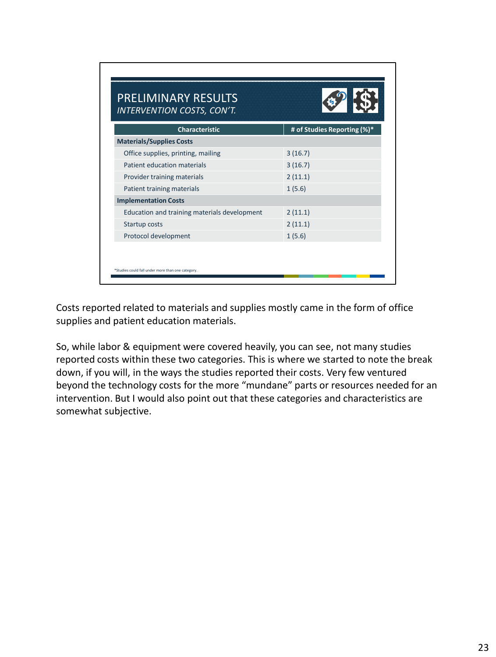| INTERVENTION COSTS, CON'T.                   |                             |  |
|----------------------------------------------|-----------------------------|--|
| <b>Characteristic</b>                        | # of Studies Reporting (%)* |  |
| <b>Materials/Supplies Costs</b>              |                             |  |
| Office supplies, printing, mailing           | 3(16.7)                     |  |
| Patient education materials                  | 3(16.7)                     |  |
| Provider training materials                  | 2(11.1)                     |  |
| Patient training materials                   | 1(5.6)                      |  |
| <b>Implementation Costs</b>                  |                             |  |
| Education and training materials development | 2(11.1)                     |  |
| Startup costs                                | 2(11.1)                     |  |
| Protocol development                         | 1(5.6)                      |  |

Costs reported related to materials and supplies mostly came in the form of office supplies and patient education materials.

So, while labor & equipment were covered heavily, you can see, not many studies reported costs within these two categories. This is where we started to note the break down, if you will, in the ways the studies reported their costs. Very few ventured beyond the technology costs for the more "mundane" parts or resources needed for an intervention. But I would also point out that these categories and characteristics are somewhat subjective.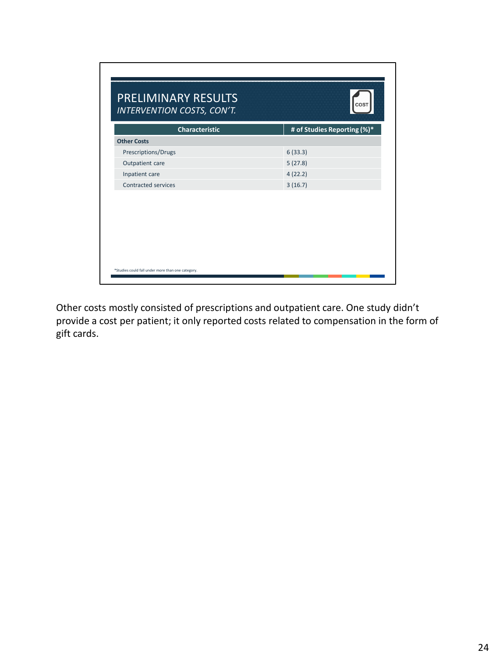| <b>Other Costs</b><br>6(33.3)<br>Prescriptions/Drugs<br>5(27.8)<br>Outpatient care<br>4(22.2)<br>Inpatient care | INTERVENTION COSTS, CON'T.<br>Characteristic | # of Studies Reporting (%)* |
|-----------------------------------------------------------------------------------------------------------------|----------------------------------------------|-----------------------------|
|                                                                                                                 |                                              |                             |
|                                                                                                                 |                                              |                             |
|                                                                                                                 |                                              |                             |
|                                                                                                                 |                                              |                             |
|                                                                                                                 | <b>Contracted services</b>                   | 3(16.7)                     |
|                                                                                                                 |                                              |                             |
|                                                                                                                 |                                              |                             |
|                                                                                                                 |                                              |                             |

Other costs mostly consisted of prescriptions and outpatient care. One study didn't provide a cost per patient; it only reported costs related to compensation in the form of gift cards.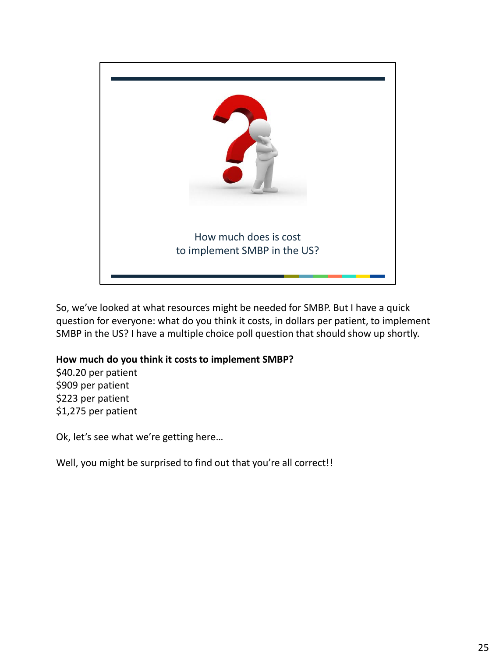

So, we've looked at what resources might be needed for SMBP. But I have a quick question for everyone: what do you think it costs, in dollars per patient, to implement SMBP in the US? I have a multiple choice poll question that should show up shortly.

## **How much do you think it costs to implement SMBP?**

\$40.20 per patient \$909 per patient \$223 per patient \$1,275 per patient

Ok, let's see what we're getting here…

Well, you might be surprised to find out that you're all correct!!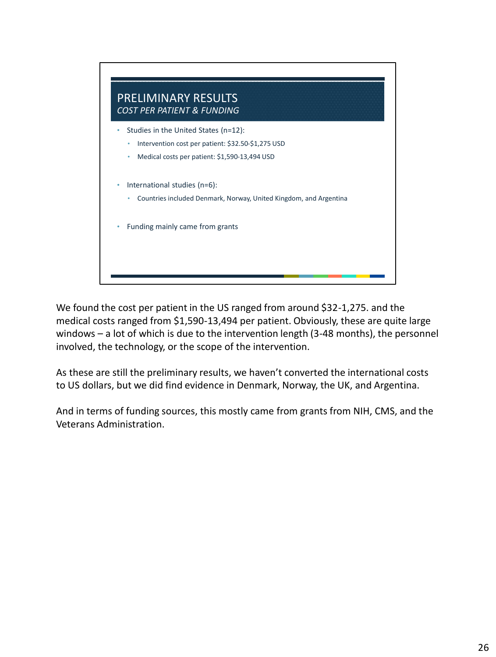

We found the cost per patient in the US ranged from around \$32-1,275. and the medical costs ranged from \$1,590-13,494 per patient. Obviously, these are quite large windows – a lot of which is due to the intervention length (3-48 months), the personnel involved, the technology, or the scope of the intervention.

As these are still the preliminary results, we haven't converted the international costs to US dollars, but we did find evidence in Denmark, Norway, the UK, and Argentina.

And in terms of funding sources, this mostly came from grants from NIH, CMS, and the Veterans Administration.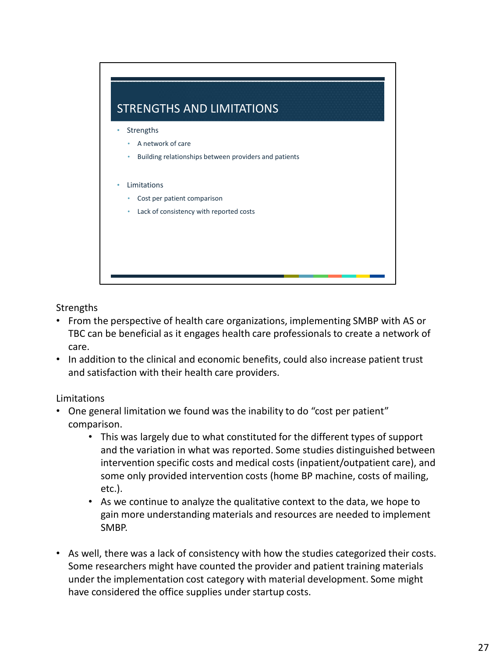

**Strengths** 

- From the perspective of health care organizations, implementing SMBP with AS or TBC can be beneficial as it engages health care professionals to create a network of care.
- In addition to the clinical and economic benefits, could also increase patient trust and satisfaction with their health care providers.

# Limitations

- One general limitation we found was the inability to do "cost per patient" comparison.
	- This was largely due to what constituted for the different types of support and the variation in what was reported. Some studies distinguished between intervention specific costs and medical costs (inpatient/outpatient care), and some only provided intervention costs (home BP machine, costs of mailing, etc.).
	- As we continue to analyze the qualitative context to the data, we hope to gain more understanding materials and resources are needed to implement SMBP.
- As well, there was a lack of consistency with how the studies categorized their costs. Some researchers might have counted the provider and patient training materials under the implementation cost category with material development. Some might have considered the office supplies under startup costs.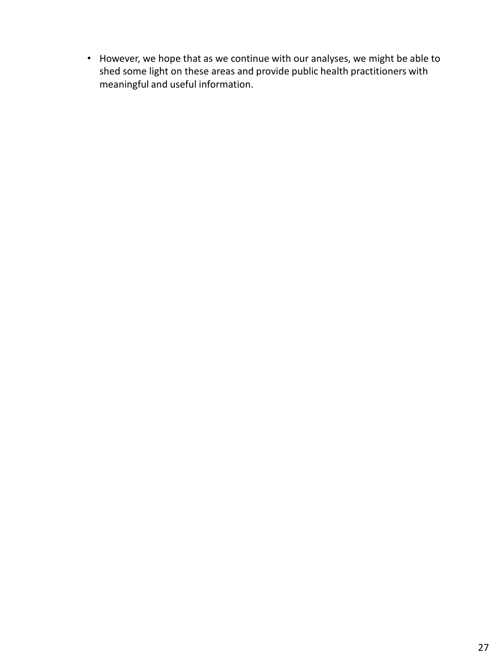• However, we hope that as we continue with our analyses, we might be able to shed some light on these areas and provide public health practitioners with meaningful and useful information.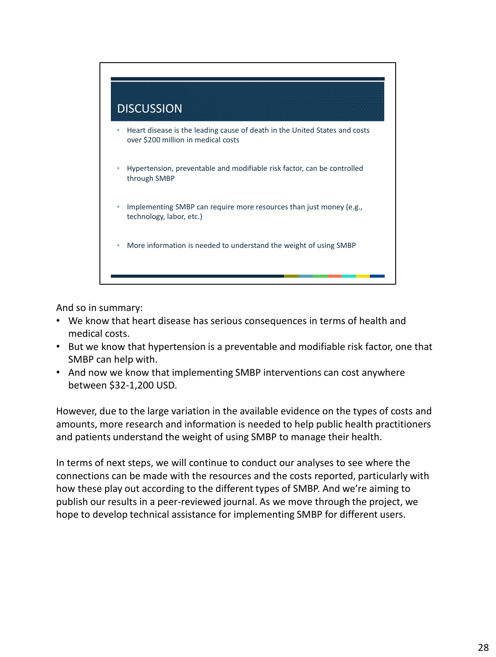

And so in summary:

- We know that heart disease has serious consequences in terms of health and medical costs.
- But we know that hypertension is a preventable and modifiable risk factor, one that SMBP can help with.
- And now we know that implementing SMBP interventions can cost anywhere between \$32-1,200 USD.

However, due to the large variation in the available evidence on the types of costs and amounts, more research and information is needed to help public health practitioners and patients understand the weight of using SMBP to manage their health.

In terms of next steps, we will continue to conduct our analyses to see where the connections can be made with the resources and the costs reported, particularly with how these play out according to the different types of SMBP. And we're aiming to publish our results in a peer-reviewed journal. As we move through the project, we hope to develop technical assistance for implementing SMBP for different users.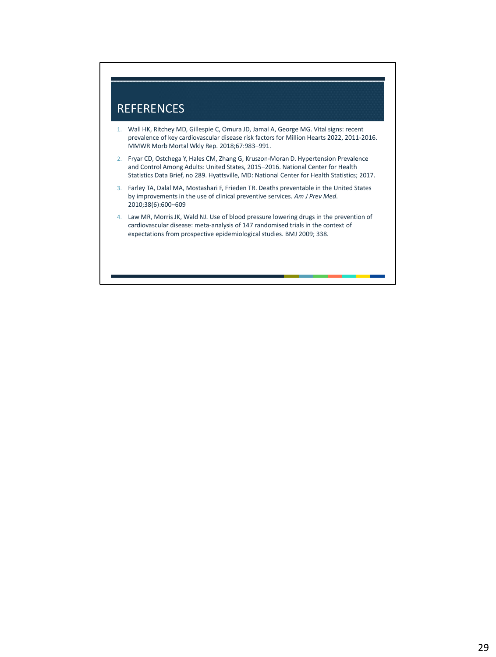

- 1. Wall HK, Ritchey MD, Gillespie C, Omura JD, Jamal A, George MG. Vital signs: recent prevalence of key cardiovascular disease risk factors for Million Hearts 2022, 2011-2016. MMWR Morb Mortal Wkly Rep. 2018;67:983–991.
- 2. Fryar CD, Ostchega Y, Hales CM, Zhang G, Kruszon-Moran D. Hypertension Prevalence and Control Among Adults: United States, 2015–2016. National Center for Health Statistics Data Brief, no 289. Hyattsville, MD: National Center for Health Statistics; 2017.
- 3. Farley TA, Dalal MA, Mostashari F, Frieden TR. Deaths preventable in the United States by improvements in the use of clinical preventive services. *Am J Prev Med*. 2010;38(6):600–609
- 4. Law MR, Morris JK, Wald NJ. Use of blood pressure lowering drugs in the prevention of cardiovascular disease: meta-analysis of 147 randomised trials in the context of expectations from prospective epidemiological studies. BMJ 2009; 338.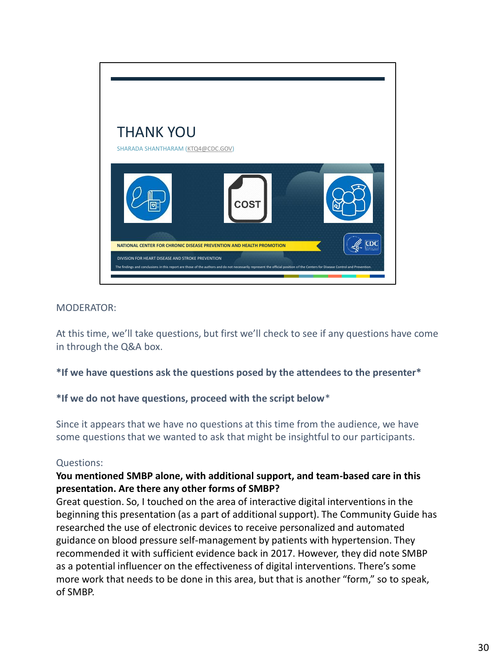

At this time, we'll take questions, but first we'll check to see if any questions have come in through the Q&A box.

#### **\*If we have questions ask the questions posed by the attendees to the presenter\***

#### **\*If we do not have questions, proceed with the script below**\*

Since it appears that we have no questions at this time from the audience, we have some questions that we wanted to ask that might be insightful to our participants.

#### Questions:

## **You mentioned SMBP alone, with additional support, and team-based care in this presentation. Are there any other forms of SMBP?**

Great question. So, I touched on the area of interactive digital interventions in the beginning this presentation (as a part of additional support). The Community Guide has researched the use of electronic devices to receive personalized and automated guidance on blood pressure self-management by patients with hypertension. They recommended it with sufficient evidence back in 2017. However, they did note SMBP as a potential influencer on the effectiveness of digital interventions. There's some more work that needs to be done in this area, but that is another "form," so to speak, of SMBP.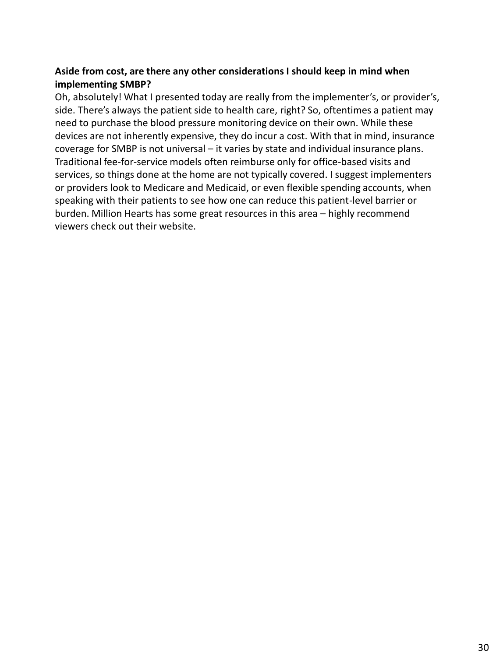## **Aside from cost, are there any other considerations I should keep in mind when implementing SMBP?**

Oh, absolutely! What I presented today are really from the implementer's, or provider's, side. There's always the patient side to health care, right? So, oftentimes a patient may need to purchase the blood pressure monitoring device on their own. While these devices are not inherently expensive, they do incur a cost. With that in mind, insurance coverage for SMBP is not universal – it varies by state and individual insurance plans. Traditional fee-for-service models often reimburse only for office-based visits and services, so things done at the home are not typically covered. I suggest implementers or providers look to Medicare and Medicaid, or even flexible spending accounts, when speaking with their patients to see how one can reduce this patient-level barrier or burden. Million Hearts has some great resources in this area – highly recommend viewers check out their website.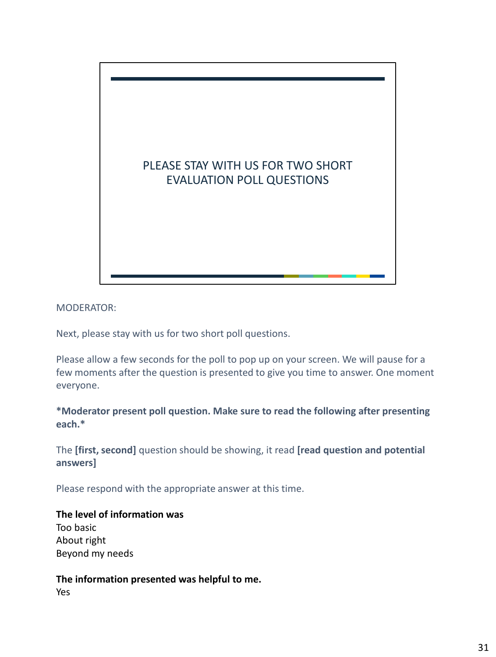

Next, please stay with us for two short poll questions.

Please allow a few seconds for the poll to pop up on your screen. We will pause for a few moments after the question is presented to give you time to answer. One moment everyone.

**\*Moderator present poll question. Make sure to read the following after presenting each.\***

The **[first, second]** question should be showing, it read **[read question and potential answers]**

Please respond with the appropriate answer at this time.

**The level of information was** Too basic About right Beyond my needs

**The information presented was helpful to me.** Yes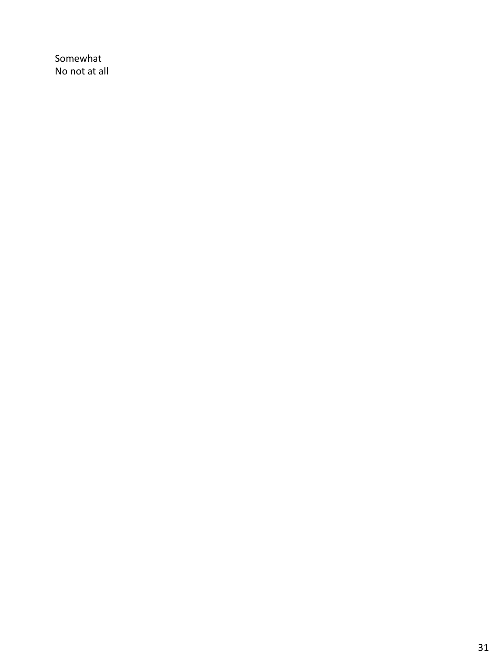Somewhat No not at all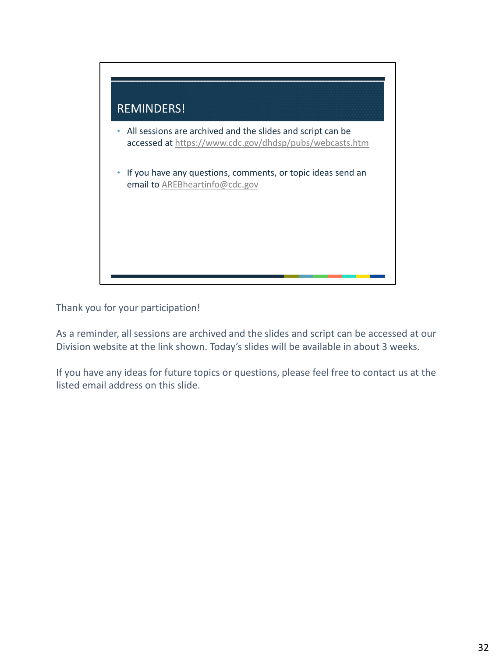

Thank you for your participation!

As a reminder, all sessions are archived and the slides and script can be accessed at our Division website at the link shown. Today's slides will be available in about 3 weeks.

If you have any ideas for future topics or questions, please feel free to contact us at the listed email address on this slide.